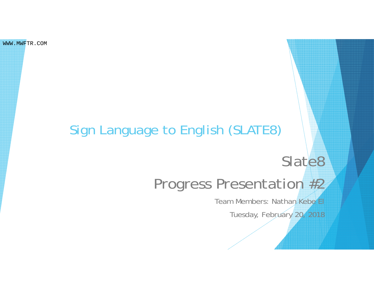WWW.MWFTR.COM

#### Sign Language to English (SLATE8)

# Slate8

# Progress Presentation #2

Team Members: Nathan Kebe E

Tuesday, February 20, 2018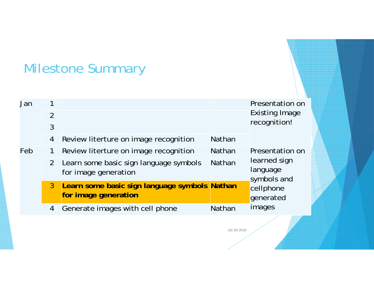#### Milestone Summary

| Jan | $\overline{2}$<br>$\overline{3}$ |                                                                       |               | Presentation on<br><b>Existing Image</b><br>recognition!                                       |  |
|-----|----------------------------------|-----------------------------------------------------------------------|---------------|------------------------------------------------------------------------------------------------|--|
|     | 4                                | Review literture on image recognition                                 | <b>Nathan</b> |                                                                                                |  |
| Feb |                                  | Review literture on image recognition                                 | <b>Nathan</b> | Presentation on<br>learned sign<br>language<br>symbols and<br>cellphone<br>generated<br>images |  |
|     | $\overline{2}$                   | Learn some basic sign language symbols<br>for image generation        | <b>Nathan</b> |                                                                                                |  |
|     | 3 <sup>1</sup>                   | Learn some basic sign language symbols Nathan<br>for image generation |               |                                                                                                |  |
|     | 4                                | Generate images with cell phone                                       | Nathan        |                                                                                                |  |
|     |                                  |                                                                       |               |                                                                                                |  |

02/20/2018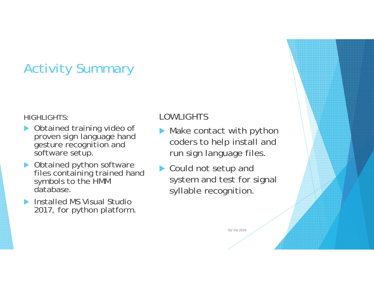### Activity Summary

#### HIGHLIGHTS:

- ▶ Obtained training video of proven sign language hand gesture recognition and software setup.
- $\triangleright$  Obtained python software files containing trained hand symbols to the HMM database.
- $\blacktriangleright$  Installed MS Visual Studio 2017, for python platform.

#### LOWLIGHTS

- $\blacktriangleright$  Make contact with python coders to help install and run sign language files.
- ▶ Could not setup and system and test for signal syllable recognition.

02/20/2018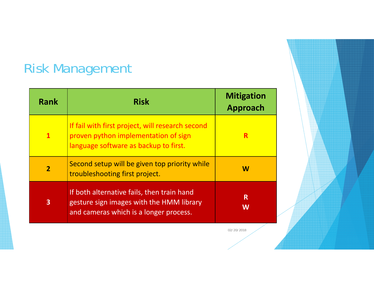# Risk Management

| <b>Rank</b>  | <b>Risk</b>                                                                                                                       | <b>Mitigation</b><br><b>Approach</b> |
|--------------|-----------------------------------------------------------------------------------------------------------------------------------|--------------------------------------|
| $\mathbf{1}$ | If fail with first project, will research second<br>proven python implementation of sign<br>language software as backup to first. | R                                    |
| $\mathbf 2$  | Second setup will be given top priority while<br>troubleshooting first project.                                                   | W                                    |
| $\mathbf{3}$ | If both alternative fails, then train hand<br>gesture sign images with the HMM library<br>and cameras which is a longer process.  | R<br>W                               |

02/20/2018